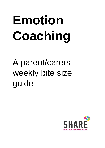# **Emotion Coaching**

# A parent/carers weekly bite size guide

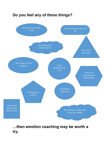

## **…then emotion coaching may be worth a try.**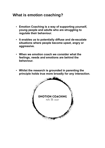#### **What is emotion coaching?**

- **Emotion Coaching is a way of supporting yourself, young people and adults who are struggling to regulate their behaviour.**
- **It enables us to potentially diffuse and de-escalate situations where people become upset, angry or aggressive.**
- **When we emotion coach we consider what the feelings, needs and emotions are behind the behaviour.**
- **Whilst the research is grounded in parenting the principle holds true more broadly for any interaction.**